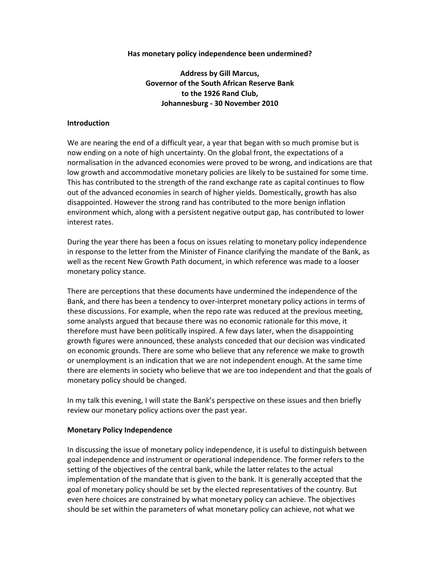### **Has monetary policy independence been undermined?**

**Address by Gill Marcus, Governor of the South African Reserve Bank to the 1926 Rand Club, Johannesburg - 30 November 2010** 

### **Introduction**

We are nearing the end of a difficult year, a year that began with so much promise but is now ending on a note of high uncertainty. On the global front, the expectations of a normalisation in the advanced economies were proved to be wrong, and indications are that low growth and accommodative monetary policies are likely to be sustained for some time. This has contributed to the strength of the rand exchange rate as capital continues to flow out of the advanced economies in search of higher yields. Domestically, growth has also disappointed. However the strong rand has contributed to the more benign inflation environment which, along with a persistent negative output gap, has contributed to lower interest rates.

During the year there has been a focus on issues relating to monetary policy independence in response to the letter from the Minister of Finance clarifying the mandate of the Bank, as well as the recent New Growth Path document, in which reference was made to a looser monetary policy stance.

There are perceptions that these documents have undermined the independence of the Bank, and there has been a tendency to over-interpret monetary policy actions in terms of these discussions. For example, when the repo rate was reduced at the previous meeting, some analysts argued that because there was no economic rationale for this move, it therefore must have been politically inspired. A few days later, when the disappointing growth figures were announced, these analysts conceded that our decision was vindicated on economic grounds. There are some who believe that any reference we make to growth or unemployment is an indication that we are not independent enough. At the same time there are elements in society who believe that we are too independent and that the goals of monetary policy should be changed.

In my talk this evening, I will state the Bank's perspective on these issues and then briefly review our monetary policy actions over the past year.

#### **Monetary Policy Independence**

In discussing the issue of monetary policy independence, it is useful to distinguish between goal independence and instrument or operational independence. The former refers to the setting of the objectives of the central bank, while the latter relates to the actual implementation of the mandate that is given to the bank. It is generally accepted that the goal of monetary policy should be set by the elected representatives of the country. But even here choices are constrained by what monetary policy can achieve. The objectives should be set within the parameters of what monetary policy can achieve, not what we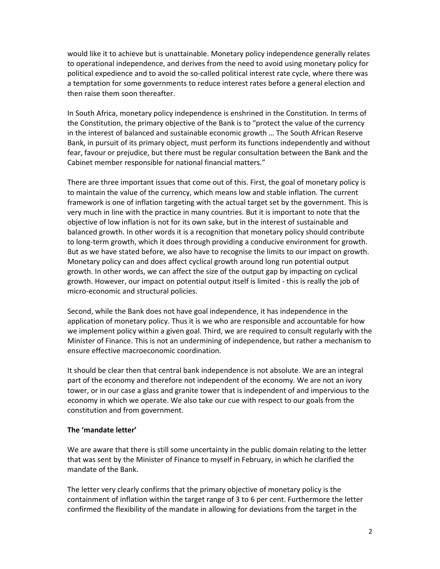would like it to achieve but is unattainable. Monetary policy independence generally relates to operational independence, and derives from the need to avoid using monetary policy for political expedience and to avoid the so-called political interest rate cycle, where there was a temptation for some governments to reduce interest rates before a general election and then raise them soon thereafter.

In South Africa, monetary policy independence is enshrined in the Constitution. In terms of the Constitution, the primary objective of the Bank is to "protect the value of the currency in the interest of balanced and sustainable economic growth … The South African Reserve Bank, in pursuit of its primary object, must perform its functions independently and without fear, favour or prejudice, but there must be regular consultation between the Bank and the Cabinet member responsible for national financial matters."

There are three important issues that come out of this. First, the goal of monetary policy is to maintain the value of the currency, which means low and stable inflation. The current framework is one of inflation targeting with the actual target set by the government. This is very much in line with the practice in many countries. But it is important to note that the objective of low inflation is not for its own sake, but in the interest of sustainable and balanced growth. In other words it is a recognition that monetary policy should contribute to long-term growth, which it does through providing a conducive environment for growth. But as we have stated before, we also have to recognise the limits to our impact on growth. Monetary policy can and does affect cyclical growth around long run potential output growth. In other words, we can affect the size of the output gap by impacting on cyclical growth. However, our impact on potential output itself is limited - this is really the job of micro-economic and structural policies.

Second, while the Bank does not have goal independence, it has independence in the application of monetary policy. Thus it is we who are responsible and accountable for how we implement policy within a given goal. Third, we are required to consult regularly with the Minister of Finance. This is not an undermining of independence, but rather a mechanism to ensure effective macroeconomic coordination.

It should be clear then that central bank independence is not absolute. We are an integral part of the economy and therefore not independent of the economy. We are not an ivory tower, or in our case a glass and granite tower that is independent of and impervious to the economy in which we operate. We also take our cue with respect to our goals from the constitution and from government.

#### **The 'mandate letter'**

We are aware that there is still some uncertainty in the public domain relating to the letter that was sent by the Minister of Finance to myself in February, in which he clarified the mandate of the Bank.

The letter very clearly confirms that the primary objective of monetary policy is the containment of inflation within the target range of 3 to 6 per cent. Furthermore the letter confirmed the flexibility of the mandate in allowing for deviations from the target in the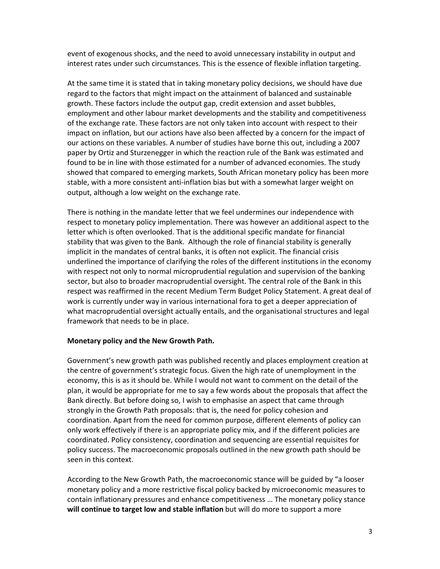event of exogenous shocks, and the need to avoid unnecessary instability in output and interest rates under such circumstances. This is the essence of flexible inflation targeting.

At the same time it is stated that in taking monetary policy decisions, we should have due regard to the factors that might impact on the attainment of balanced and sustainable growth. These factors include the output gap, credit extension and asset bubbles, employment and other labour market developments and the stability and competitiveness of the exchange rate. These factors are not only taken into account with respect to their impact on inflation, but our actions have also been affected by a concern for the impact of our actions on these variables. A number of studies have borne this out, including a 2007 paper by Ortiz and Sturzenegger in which the reaction rule of the Bank was estimated and found to be in line with those estimated for a number of advanced economies. The study showed that compared to emerging markets, South African monetary policy has been more stable, with a more consistent anti-inflation bias but with a somewhat larger weight on output, although a low weight on the exchange rate.

There is nothing in the mandate letter that we feel undermines our independence with respect to monetary policy implementation. There was however an additional aspect to the letter which is often overlooked. That is the additional specific mandate for financial stability that was given to the Bank. Although the role of financial stability is generally implicit in the mandates of central banks, it is often not explicit. The financial crisis underlined the importance of clarifying the roles of the different institutions in the economy with respect not only to normal microprudential regulation and supervision of the banking sector, but also to broader macroprudential oversight. The central role of the Bank in this respect was reaffirmed in the recent Medium Term Budget Policy Statement. A great deal of work is currently under way in various international fora to get a deeper appreciation of what macroprudential oversight actually entails, and the organisational structures and legal framework that needs to be in place.

# **Monetary policy and the New Growth Path.**

Government's new growth path was published recently and places employment creation at the centre of government's strategic focus. Given the high rate of unemployment in the economy, this is as it should be. While I would not want to comment on the detail of the plan, it would be appropriate for me to say a few words about the proposals that affect the Bank directly. But before doing so, I wish to emphasise an aspect that came through strongly in the Growth Path proposals: that is, the need for policy cohesion and coordination. Apart from the need for common purpose, different elements of policy can only work effectively if there is an appropriate policy mix, and if the different policies are coordinated. Policy consistency, coordination and sequencing are essential requisites for policy success. The macroeconomic proposals outlined in the new growth path should be seen in this context.

According to the New Growth Path, the macroeconomic stance will be guided by "a looser monetary policy and a more restrictive fiscal policy backed by microeconomic measures to contain inflationary pressures and enhance competitiveness … The monetary policy stance **will continue to target low and stable inflation** but will do more to support a more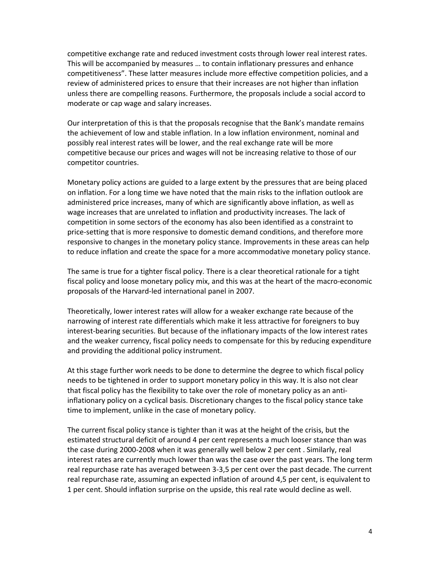competitive exchange rate and reduced investment costs through lower real interest rates. This will be accompanied by measures … to contain inflationary pressures and enhance competitiveness". These latter measures include more effective competition policies, and a review of administered prices to ensure that their increases are not higher than inflation unless there are compelling reasons. Furthermore, the proposals include a social accord to moderate or cap wage and salary increases.

Our interpretation of this is that the proposals recognise that the Bank's mandate remains the achievement of low and stable inflation. In a low inflation environment, nominal and possibly real interest rates will be lower, and the real exchange rate will be more competitive because our prices and wages will not be increasing relative to those of our competitor countries.

Monetary policy actions are guided to a large extent by the pressures that are being placed on inflation. For a long time we have noted that the main risks to the inflation outlook are administered price increases, many of which are significantly above inflation, as well as wage increases that are unrelated to inflation and productivity increases. The lack of competition in some sectors of the economy has also been identified as a constraint to price-setting that is more responsive to domestic demand conditions, and therefore more responsive to changes in the monetary policy stance. Improvements in these areas can help to reduce inflation and create the space for a more accommodative monetary policy stance.

The same is true for a tighter fiscal policy. There is a clear theoretical rationale for a tight fiscal policy and loose monetary policy mix, and this was at the heart of the macro-economic proposals of the Harvard-led international panel in 2007.

Theoretically, lower interest rates will allow for a weaker exchange rate because of the narrowing of interest rate differentials which make it less attractive for foreigners to buy interest-bearing securities. But because of the inflationary impacts of the low interest rates and the weaker currency, fiscal policy needs to compensate for this by reducing expenditure and providing the additional policy instrument.

At this stage further work needs to be done to determine the degree to which fiscal policy needs to be tightened in order to support monetary policy in this way. It is also not clear that fiscal policy has the flexibility to take over the role of monetary policy as an antiinflationary policy on a cyclical basis. Discretionary changes to the fiscal policy stance take time to implement, unlike in the case of monetary policy.

The current fiscal policy stance is tighter than it was at the height of the crisis, but the estimated structural deficit of around 4 per cent represents a much looser stance than was the case during 2000-2008 when it was generally well below 2 per cent . Similarly, real interest rates are currently much lower than was the case over the past years. The long term real repurchase rate has averaged between 3-3,5 per cent over the past decade. The current real repurchase rate, assuming an expected inflation of around 4,5 per cent, is equivalent to 1 per cent. Should inflation surprise on the upside, this real rate would decline as well.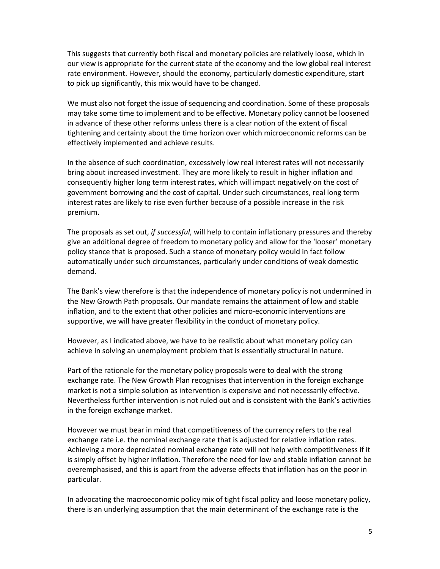This suggests that currently both fiscal and monetary policies are relatively loose, which in our view is appropriate for the current state of the economy and the low global real interest rate environment. However, should the economy, particularly domestic expenditure, start to pick up significantly, this mix would have to be changed.

We must also not forget the issue of sequencing and coordination. Some of these proposals may take some time to implement and to be effective. Monetary policy cannot be loosened in advance of these other reforms unless there is a clear notion of the extent of fiscal tightening and certainty about the time horizon over which microeconomic reforms can be effectively implemented and achieve results.

In the absence of such coordination, excessively low real interest rates will not necessarily bring about increased investment. They are more likely to result in higher inflation and consequently higher long term interest rates, which will impact negatively on the cost of government borrowing and the cost of capital. Under such circumstances, real long term interest rates are likely to rise even further because of a possible increase in the risk premium.

The proposals as set out, *if successful*, will help to contain inflationary pressures and thereby give an additional degree of freedom to monetary policy and allow for the 'looser' monetary policy stance that is proposed. Such a stance of monetary policy would in fact follow automatically under such circumstances, particularly under conditions of weak domestic demand.

The Bank's view therefore is that the independence of monetary policy is not undermined in the New Growth Path proposals. Our mandate remains the attainment of low and stable inflation, and to the extent that other policies and micro-economic interventions are supportive, we will have greater flexibility in the conduct of monetary policy.

However, as I indicated above, we have to be realistic about what monetary policy can achieve in solving an unemployment problem that is essentially structural in nature.

Part of the rationale for the monetary policy proposals were to deal with the strong exchange rate. The New Growth Plan recognises that intervention in the foreign exchange market is not a simple solution as intervention is expensive and not necessarily effective. Nevertheless further intervention is not ruled out and is consistent with the Bank's activities in the foreign exchange market.

However we must bear in mind that competitiveness of the currency refers to the real exchange rate i.e. the nominal exchange rate that is adjusted for relative inflation rates. Achieving a more depreciated nominal exchange rate will not help with competitiveness if it is simply offset by higher inflation. Therefore the need for low and stable inflation cannot be overemphasised, and this is apart from the adverse effects that inflation has on the poor in particular.

In advocating the macroeconomic policy mix of tight fiscal policy and loose monetary policy, there is an underlying assumption that the main determinant of the exchange rate is the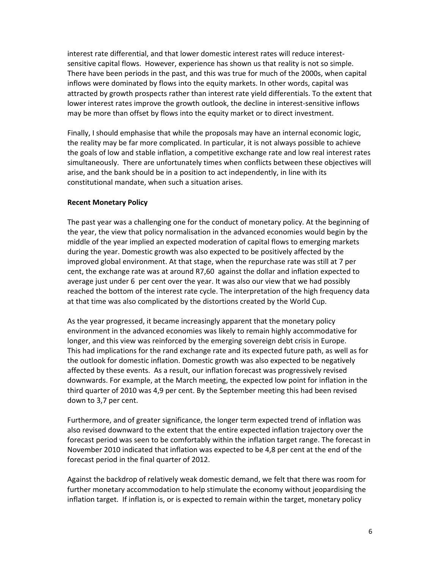interest rate differential, and that lower domestic interest rates will reduce interestsensitive capital flows. However, experience has shown us that reality is not so simple. There have been periods in the past, and this was true for much of the 2000s, when capital inflows were dominated by flows into the equity markets. In other words, capital was attracted by growth prospects rather than interest rate yield differentials. To the extent that lower interest rates improve the growth outlook, the decline in interest-sensitive inflows may be more than offset by flows into the equity market or to direct investment.

Finally, I should emphasise that while the proposals may have an internal economic logic, the reality may be far more complicated. In particular, it is not always possible to achieve the goals of low and stable inflation, a competitive exchange rate and low real interest rates simultaneously. There are unfortunately times when conflicts between these objectives will arise, and the bank should be in a position to act independently, in line with its constitutional mandate, when such a situation arises.

### **Recent Monetary Policy**

The past year was a challenging one for the conduct of monetary policy. At the beginning of the year, the view that policy normalisation in the advanced economies would begin by the middle of the year implied an expected moderation of capital flows to emerging markets during the year. Domestic growth was also expected to be positively affected by the improved global environment. At that stage, when the repurchase rate was still at 7 per cent, the exchange rate was at around R7,60 against the dollar and inflation expected to average just under 6 per cent over the year. It was also our view that we had possibly reached the bottom of the interest rate cycle. The interpretation of the high frequency data at that time was also complicated by the distortions created by the World Cup.

As the year progressed, it became increasingly apparent that the monetary policy environment in the advanced economies was likely to remain highly accommodative for longer, and this view was reinforced by the emerging sovereign debt crisis in Europe. This had implications for the rand exchange rate and its expected future path, as well as for the outlook for domestic inflation. Domestic growth was also expected to be negatively affected by these events. As a result, our inflation forecast was progressively revised downwards. For example, at the March meeting, the expected low point for inflation in the third quarter of 2010 was 4,9 per cent. By the September meeting this had been revised down to 3,7 per cent.

Furthermore, and of greater significance, the longer term expected trend of inflation was also revised downward to the extent that the entire expected inflation trajectory over the forecast period was seen to be comfortably within the inflation target range. The forecast in November 2010 indicated that inflation was expected to be 4,8 per cent at the end of the forecast period in the final quarter of 2012.

Against the backdrop of relatively weak domestic demand, we felt that there was room for further monetary accommodation to help stimulate the economy without jeopardising the inflation target. If inflation is, or is expected to remain within the target, monetary policy